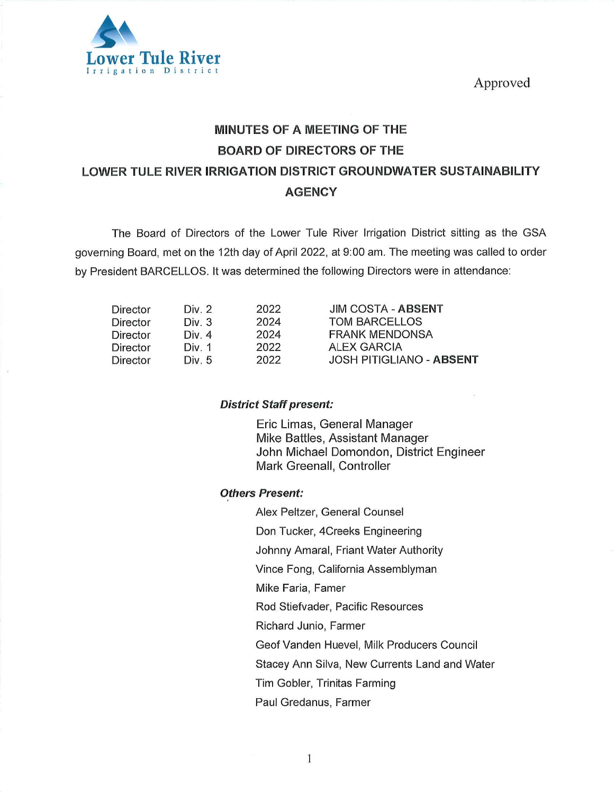Approved



# MINUTES OF A MEETING OF THE BOARD OF DIRECTORS OF THE LOWER TULE RIVER IRRIGATION DISTRICT GROUNDWATER SUSTAINABILITY **AGENCY**

The Board of Directors of the Lower Tule River Irrigation District sitting as the GSA governing Board, met on the 12th day of April 2022, at 9:00 am. The meeting was called to order by President BARCELLOS. It was determined the following Directors were in attendance:

| Director | Div. 2   | 2022 | <b>JIM COSTA - ABSENT</b>       |
|----------|----------|------|---------------------------------|
| Director | Div. 3   | 2024 | <b>TOM BARCELLOS</b>            |
| Director | Div. $4$ | 2024 | <b>FRANK MENDONSA</b>           |
| Director | Div. 1   | 2022 | <b>ALEX GARCIA</b>              |
| Director | Div. 5   | 2022 | <b>JOSH PITIGLIANO - ABSENT</b> |

### District Staff present:

Eric Limas, General Manager Mike Battles, Assistant Manager John Michael Domondon, District Engineer Mark Greenall, Controller

### Others Present:

Alex Peltzer, General Counsel

Don Tucker, 4Creeks Engineering

Johnny Amaral, Friant Water Authority

Vince Fong, California Assemblyman

Mike Faria, Famer

Rod Stiefvader, Pacific Resources

Richard Junio, Farmer

GeofVanden Huevel, Milk Producers Council

Stacey Ann Silva, New Currents Land and Water

Tim Gobler, Trinitas Farming

Paul Gredanus, Farmer

 $\mathbf{1}$